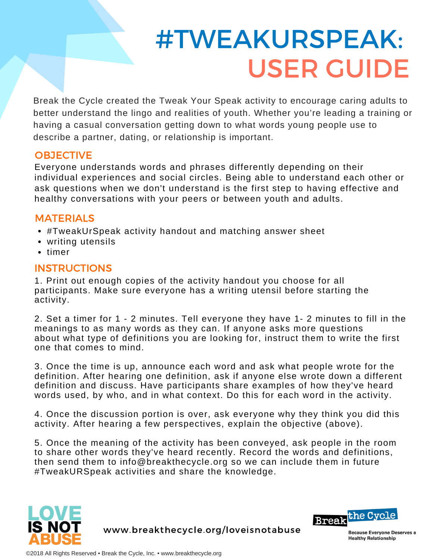# #TWEAKURSPEAK: USER GUIDE

Break the Cycle created the Tweak Your Speak activity to encourage caring adults to better understand the lingo and realities of youth. Whether you're leading a training or having a casual conversation getting down to what words young people use to describe a partner, dating, or relationship is important.

#### **OBJECTIVE**

Everyone understands words and phrases differently depending on their individual experiences and social circles. Being able to understand each other or ask questions when we don't understand is the first step to having effective and healthy conversations with your peers or between youth and adults.

#### MATERIALS

- #TweakUrSpeak activity handout and matching answer sheet
- writing utensils
- timer

#### **INSTRUCTIONS**

1. Print out enough copies of the activity handout you choose for all participants. Make sure everyone has a writing utensil before starting the activity.

2. Set a timer for 1 - 2 minutes. Tell everyone they have 1- 2 minutes to fill in the meanings to as many words as they can. If anyone asks more questions about what type of definitions you are looking for, instruct them to write the first one that comes to mind.

3. Once the time is up, announce each word and ask what people wrote for the definition. After hearing one definition, ask if anyone else wrote down a different definition and discuss. Have participants share examples of how they've heard words used, by who, and in what context. Do this for each word in the activity.

4. Once the discussion portion is over, ask everyone why they think you did this activity. After hearing a few perspectives, explain the objective (above).

5. Once the meaning of the activity has been conveyed, ask people in the room to share other words they've heard recently. Record the words and definitions, then send them to info@breakthecycle.org so we can include them in future #TweakURSpeak activities and share the knowledge.



www.breakthecycle.org/loveisnotabuse



**Because Everyone Deserves a Healthy Relationship**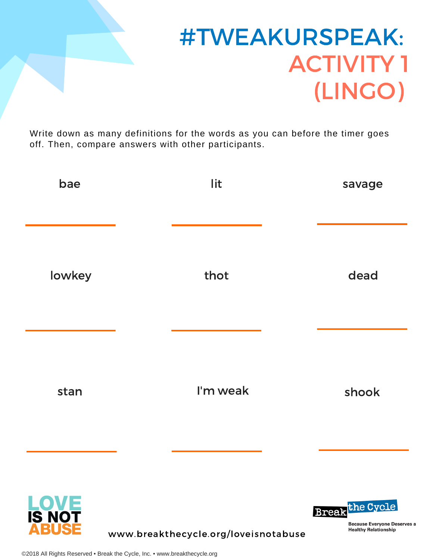

### #TWEAKURSPEAK: ACTIVITY 1 (LINGO)

**Break**the Cycle

**Because Everyone Deserves a Healthy Relationship** 

Write down as many definitions for the words as you can before the timer goes off. Then, compare answers with other participants.

| bae    | lit      | savage |
|--------|----------|--------|
| lowkey | thot     | dead   |
| stan   | I'm weak | shook  |
|        |          |        |



www.breakthecycle.org/loveisnotabuse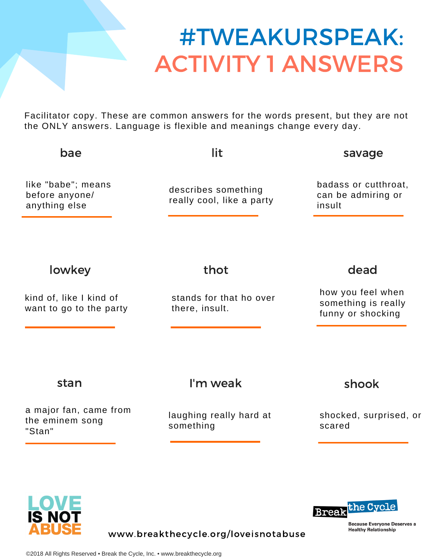### #TWEAKURSPEAK: ACTIVITY 1 ANSWERS

Facilitator copy. These are common answers for the words present, but they are not the ONLY answers. Language is flexible and meanings change every day.

| bae                                                   | lit                                              | savage                                                        |
|-------------------------------------------------------|--------------------------------------------------|---------------------------------------------------------------|
| like "babe"; means<br>before anyone/<br>anything else | describes something<br>really cool, like a party | badass or cutthroat,<br>can be admiring or<br>insult          |
| lowkey                                                | thot                                             | dead                                                          |
| kind of, like I kind of<br>want to go to the party    | stands for that ho over<br>there, insult.        | how you feel when<br>something is really<br>funny or shocking |
| stan                                                  | I'm weak                                         | shook                                                         |
| a major fan, came from<br>the eminem song<br>"Stan"   | laughing really hard at<br>something             | shocked, surprised, or<br>scared                              |
|                                                       |                                                  |                                                               |



**Break** the Cycle

**Because Everyone Deserves a Healthy Relationship** 

www.breakthecycle.org/loveisnotabuse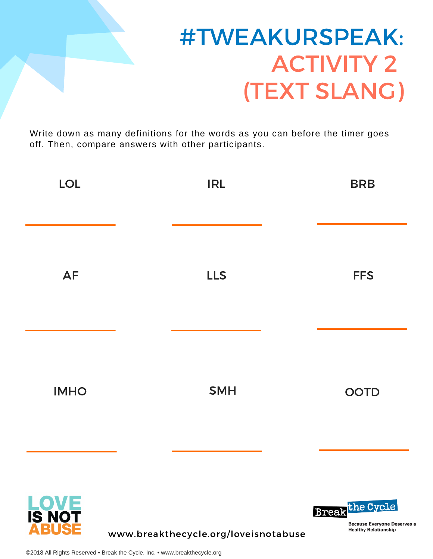

## #TWEAKURSPEAK: ACTIVITY 2 (TEXT SLANG)

Write down as many definitions for the words as you can before the timer goes off. Then, compare answers with other participants.

| <b>LOL</b>     | <b>IRL</b> | <b>BRB</b>             |
|----------------|------------|------------------------|
| AF             | <b>LLS</b> | <b>FFS</b>             |
| <b>IMHO</b>    | <b>SMH</b> | <b>OOTD</b>            |
| LOVE<br>IS NOT |            | <b>Break</b> the Cycle |



www.breakthecycle.org/loveisnotabuse

**Because Everyone Deserves a Healthy Relationship**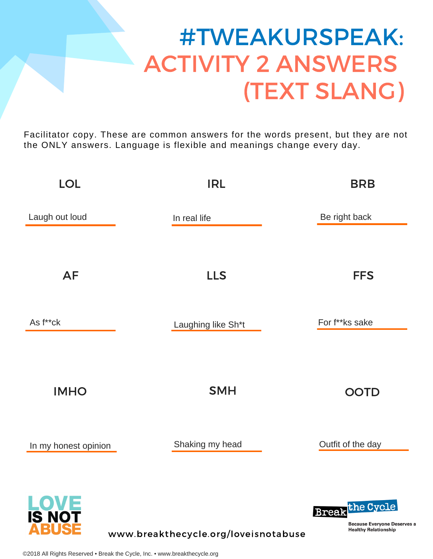# #TWEAKURSPEAK: ACTIVITY 2 ANSWERS (TEXT SLANG)

Facilitator copy. These are common answers for the words present, but they are not the ONLY answers. Language is flexible and meanings change every day.

| <b>LOL</b>                           | <b>IRL</b>                           | <b>BRB</b>                                                                                |
|--------------------------------------|--------------------------------------|-------------------------------------------------------------------------------------------|
| Laugh out loud                       | In real life                         | Be right back                                                                             |
| <b>AF</b>                            | <b>LLS</b>                           | <b>FFS</b>                                                                                |
| As f**ck                             | Laughing like Sh*t                   | For f**ks sake                                                                            |
| <b>IMHO</b>                          | <b>SMH</b>                           | <b>OOTD</b>                                                                               |
| In my honest opinion                 | Shaking my head                      | Outfit of the day                                                                         |
| <b>LOVE</b><br>IS NOT<br><b>BUSE</b> | www.breakthecycle.org/loveisnotabuse | <b>Break</b> the Cycle<br><b>Because Everyone Deserves</b><br><b>Healthy Relationship</b> |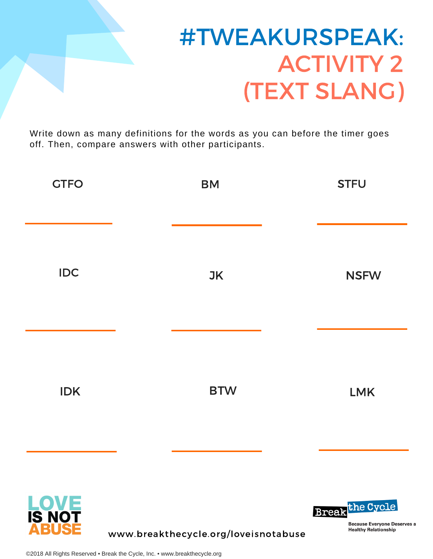

# #TWEAKURSPEAK: ACTIVITY 2 (TEXT SLANG)

Write down as many definitions for the words as you can before the timer goes off. Then, compare answers with other participants.

| <b>GTFO</b> | <b>BM</b>  | <b>STFU</b> |
|-------------|------------|-------------|
| <b>IDC</b>  | <b>JK</b>  | <b>NSFW</b> |
| <b>IDK</b>  | <b>BTW</b> | LMK         |
|             |            |             |



www.breakthecycle.org/loveisnotabuse

**Break**the Cycle

**Because Everyone Deserves a Healthy Relationship**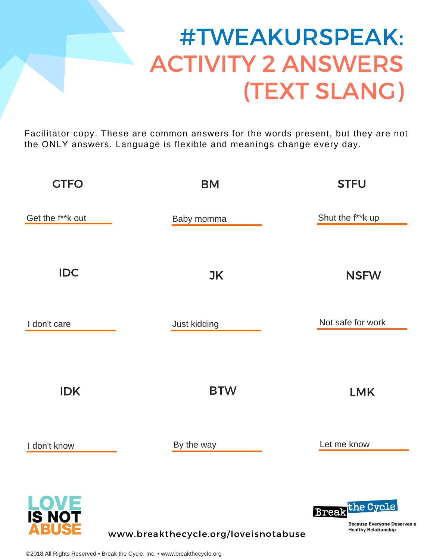# #TWEAKURSPEAK: ACTIVITY 2 ANSWERS (TEXT SLANG)

Facilitator copy. These are common answers for the words present, but they are not the ONLY answers. Language is flexible and meanings change every day.

| <b>GTFO</b>                    | <b>BM</b>                            | <b>STFU</b>                                                                                 |
|--------------------------------|--------------------------------------|---------------------------------------------------------------------------------------------|
| Get the f**k out               | Baby momma                           | Shut the f**k up                                                                            |
| <b>IDC</b>                     | <b>JK</b>                            | <b>NSFW</b>                                                                                 |
| I don't care                   | Just kidding                         | Not safe for work                                                                           |
| <b>IDK</b>                     | <b>BTW</b>                           | <b>LMK</b>                                                                                  |
| I don't know                   | By the way                           | Let me know                                                                                 |
| <b>LOVE</b><br>IS NOT<br>ABUSE | www.breakthecycle.org/loveisnotabuse | <b>Break</b> the Cycle<br><b>Because Everyone Deserves a</b><br><b>Healthy Relationship</b> |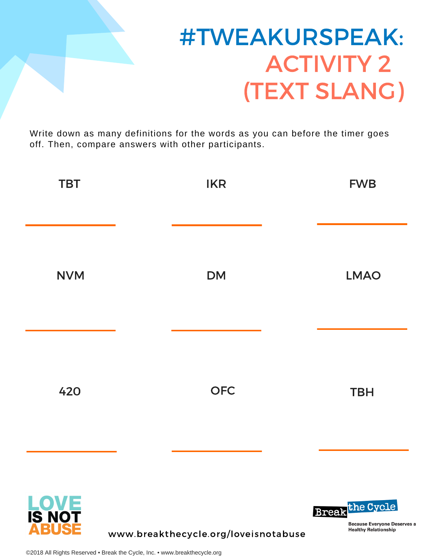

### #TWEAKURSPEAK: ACTIVITY 2 (TEXT SLANG)

Write down as many definitions for the words as you can before the timer goes off. Then, compare answers with other participants.

| <b>TBT</b>  | <b>IKR</b> | <b>FWB</b>             |
|-------------|------------|------------------------|
| <b>NVM</b>  | <b>DM</b>  | <b>LMAO</b>            |
| 420         | <b>OFC</b> | <b>TBH</b>             |
| <b>LOVE</b> |            | <b>Break</b> the Cycle |



www.breakthecycle.org/loveisnotabuse

**Because Everyone Deserves a Healthy Relationship**